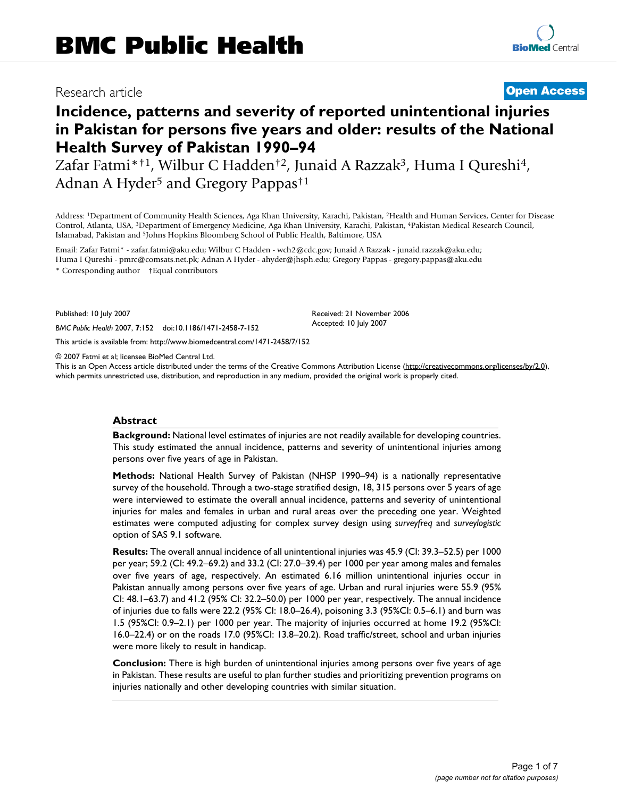## Research article **[Open Access](http://www.biomedcentral.com/info/about/charter/)**

# **Incidence, patterns and severity of reported unintentional injuries in Pakistan for persons five years and older: results of the National Health Survey of Pakistan 1990–94**

Zafar Fatmi\*<sup>†1</sup>, Wilbur C Hadden<sup>†2</sup>, Junaid A Razzak<sup>3</sup>, Huma I Qureshi<sup>4</sup>, Adnan A Hyder<sup>5</sup> and Gregory Pappas<sup>†1</sup>

Address: 1Department of Community Health Sciences, Aga Khan University, Karachi, Pakistan, 2Health and Human Services, Center for Disease Control, Atlanta, USA, 3Department of Emergency Medicine, Aga Khan University, Karachi, Pakistan, 4Pakistan Medical Research Council, Islamabad, Pakistan and 5Johns Hopkins Bloomberg School of Public Health, Baltimore, USA

Email: Zafar Fatmi\* - zafar.fatmi@aku.edu; Wilbur C Hadden - wch2@cdc.gov; Junaid A Razzak - junaid.razzak@aku.edu; Huma I Qureshi - pmrc@comsats.net.pk; Adnan A Hyder - ahyder@jhsph.edu; Gregory Pappas - gregory.pappas@aku.edu \* Corresponding author †Equal contributors

Published: 10 July 2007

*BMC Public Health* 2007, **7**:152 doi:10.1186/1471-2458-7-152

[This article is available from: http://www.biomedcentral.com/1471-2458/7/152](http://www.biomedcentral.com/1471-2458/7/152)

© 2007 Fatmi et al; licensee BioMed Central Ltd.

This is an Open Access article distributed under the terms of the Creative Commons Attribution License [\(http://creativecommons.org/licenses/by/2.0\)](http://creativecommons.org/licenses/by/2.0), which permits unrestricted use, distribution, and reproduction in any medium, provided the original work is properly cited.

Received: 21 November 2006 Accepted: 10 July 2007

#### **Abstract**

**Background:** National level estimates of injuries are not readily available for developing countries. This study estimated the annual incidence, patterns and severity of unintentional injuries among persons over five years of age in Pakistan.

**Methods:** National Health Survey of Pakistan (NHSP 1990–94) is a nationally representative survey of the household. Through a two-stage stratified design, 18, 315 persons over 5 years of age were interviewed to estimate the overall annual incidence, patterns and severity of unintentional injuries for males and females in urban and rural areas over the preceding one year. Weighted estimates were computed adjusting for complex survey design using *surveyfreq* and *surveylogistic* option of SAS 9.1 software.

**Results:** The overall annual incidence of all unintentional injuries was 45.9 (CI: 39.3–52.5) per 1000 per year; 59.2 (CI: 49.2–69.2) and 33.2 (CI: 27.0–39.4) per 1000 per year among males and females over five years of age, respectively. An estimated 6.16 million unintentional injuries occur in Pakistan annually among persons over five years of age. Urban and rural injuries were 55.9 (95% CI: 48.1–63.7) and 41.2 (95% CI: 32.2–50.0) per 1000 per year, respectively. The annual incidence of injuries due to falls were 22.2 (95% CI: 18.0–26.4), poisoning 3.3 (95%CI: 0.5–6.1) and burn was 1.5 (95%CI: 0.9–2.1) per 1000 per year. The majority of injuries occurred at home 19.2 (95%CI: 16.0–22.4) or on the roads 17.0 (95%CI: 13.8–20.2). Road traffic/street, school and urban injuries were more likely to result in handicap.

**Conclusion:** There is high burden of unintentional injuries among persons over five years of age in Pakistan. These results are useful to plan further studies and prioritizing prevention programs on injuries nationally and other developing countries with similar situation.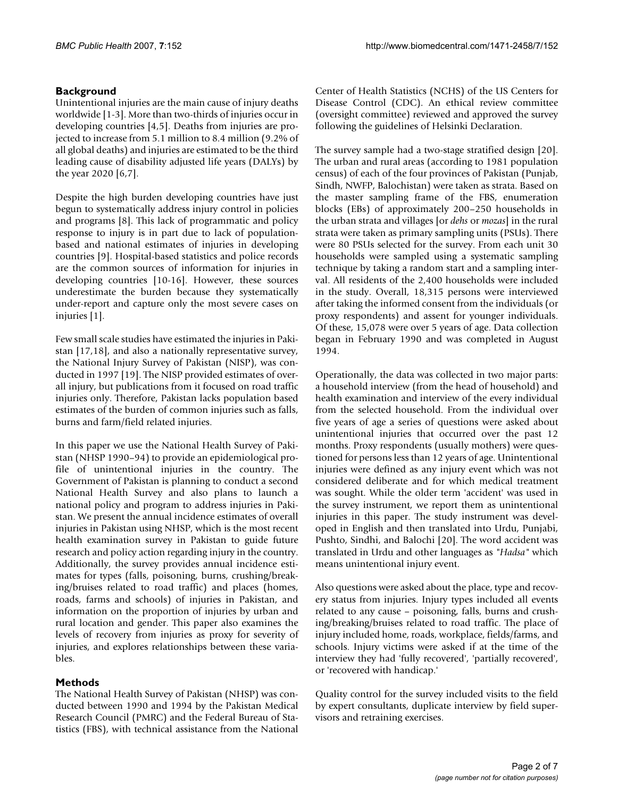### **Background**

Unintentional injuries are the main cause of injury deaths worldwide [1-3]. More than two-thirds of injuries occur in developing countries [4,5]. Deaths from injuries are projected to increase from 5.1 million to 8.4 million (9.2% of all global deaths) and injuries are estimated to be the third leading cause of disability adjusted life years (DALYs) by the year 2020 [6,7].

Despite the high burden developing countries have just begun to systematically address injury control in policies and programs [8]. This lack of programmatic and policy response to injury is in part due to lack of populationbased and national estimates of injuries in developing countries [9]. Hospital-based statistics and police records are the common sources of information for injuries in developing countries [10-16]. However, these sources underestimate the burden because they systematically under-report and capture only the most severe cases on injuries [1].

Few small scale studies have estimated the injuries in Pakistan [17,18], and also a nationally representative survey, the National Injury Survey of Pakistan (NISP), was conducted in 1997 [19]. The NISP provided estimates of overall injury, but publications from it focused on road traffic injuries only. Therefore, Pakistan lacks population based estimates of the burden of common injuries such as falls, burns and farm/field related injuries.

In this paper we use the National Health Survey of Pakistan (NHSP 1990–94) to provide an epidemiological profile of unintentional injuries in the country. The Government of Pakistan is planning to conduct a second National Health Survey and also plans to launch a national policy and program to address injuries in Pakistan. We present the annual incidence estimates of overall injuries in Pakistan using NHSP, which is the most recent health examination survey in Pakistan to guide future research and policy action regarding injury in the country. Additionally, the survey provides annual incidence estimates for types (falls, poisoning, burns, crushing/breaking/bruises related to road traffic) and places (homes, roads, farms and schools) of injuries in Pakistan, and information on the proportion of injuries by urban and rural location and gender. This paper also examines the levels of recovery from injuries as proxy for severity of injuries, and explores relationships between these variables.

#### **Methods**

The National Health Survey of Pakistan (NHSP) was conducted between 1990 and 1994 by the Pakistan Medical Research Council (PMRC) and the Federal Bureau of Statistics (FBS), with technical assistance from the National Center of Health Statistics (NCHS) of the US Centers for Disease Control (CDC). An ethical review committee (oversight committee) reviewed and approved the survey following the guidelines of Helsinki Declaration.

The survey sample had a two-stage stratified design [20]. The urban and rural areas (according to 1981 population census) of each of the four provinces of Pakistan (Punjab, Sindh, NWFP, Balochistan) were taken as strata. Based on the master sampling frame of the FBS, enumeration blocks (EBs) of approximately 200–250 households in the urban strata and villages [or *dehs* or *mozas*] in the rural strata were taken as primary sampling units (PSUs). There were 80 PSUs selected for the survey. From each unit 30 households were sampled using a systematic sampling technique by taking a random start and a sampling interval. All residents of the 2,400 households were included in the study. Overall, 18,315 persons were interviewed after taking the informed consent from the individuals (or proxy respondents) and assent for younger individuals. Of these, 15,078 were over 5 years of age. Data collection began in February 1990 and was completed in August 1994.

Operationally, the data was collected in two major parts: a household interview (from the head of household) and health examination and interview of the every individual from the selected household. From the individual over five years of age a series of questions were asked about unintentional injuries that occurred over the past 12 months. Proxy respondents (usually mothers) were questioned for persons less than 12 years of age. Unintentional injuries were defined as any injury event which was not considered deliberate and for which medical treatment was sought. While the older term 'accident' was used in the survey instrument, we report them as unintentional injuries in this paper. The study instrument was developed in English and then translated into Urdu, Punjabi, Pushto, Sindhi, and Balochi [20]. The word accident was translated in Urdu and other languages as *"Hadsa"* which means unintentional injury event.

Also questions were asked about the place, type and recovery status from injuries. Injury types included all events related to any cause – poisoning, falls, burns and crushing/breaking/bruises related to road traffic. The place of injury included home, roads, workplace, fields/farms, and schools. Injury victims were asked if at the time of the interview they had 'fully recovered', 'partially recovered', or 'recovered with handicap.'

Quality control for the survey included visits to the field by expert consultants, duplicate interview by field supervisors and retraining exercises.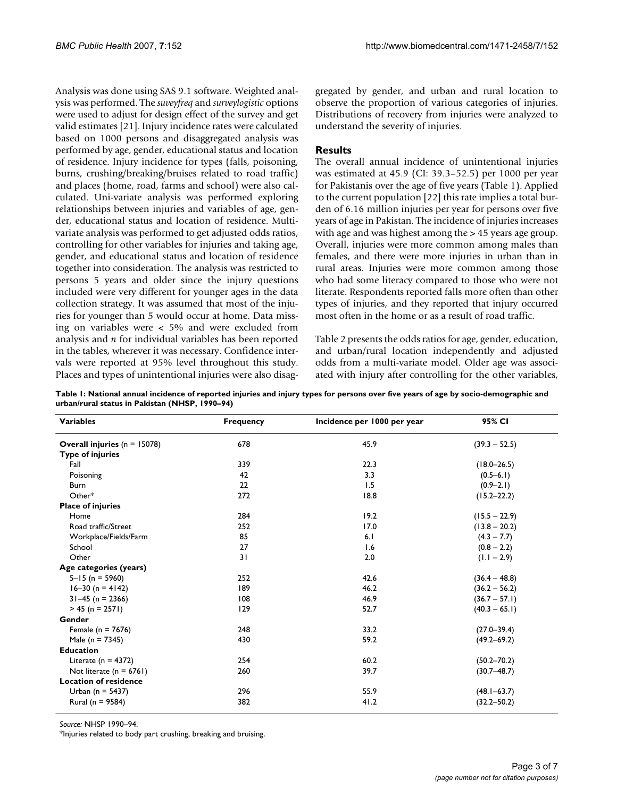Analysis was done using SAS 9.1 software. Weighted analysis was performed. The *suveyfreq* and *surveylogistic* options were used to adjust for design effect of the survey and get valid estimates [21]. Injury incidence rates were calculated based on 1000 persons and disaggregated analysis was performed by age, gender, educational status and location of residence. Injury incidence for types (falls, poisoning, burns, crushing/breaking/bruises related to road traffic) and places (home, road, farms and school) were also calculated. Uni-variate analysis was performed exploring relationships between injuries and variables of age, gender, educational status and location of residence. Multivariate analysis was performed to get adjusted odds ratios, controlling for other variables for injuries and taking age, gender, and educational status and location of residence together into consideration. The analysis was restricted to persons 5 years and older since the injury questions included were very different for younger ages in the data collection strategy. It was assumed that most of the injuries for younger than 5 would occur at home. Data missing on variables were < 5% and were excluded from analysis and *n* for individual variables has been reported in the tables, wherever it was necessary. Confidence intervals were reported at 95% level throughout this study. Places and types of unintentional injuries were also disaggregated by gender, and urban and rural location to observe the proportion of various categories of injuries. Distributions of recovery from injuries were analyzed to understand the severity of injuries.

#### **Results**

The overall annual incidence of unintentional injuries was estimated at 45.9 (CI: 39.3–52.5) per 1000 per year for Pakistanis over the age of five years (Table 1). Applied to the current population [22] this rate implies a total burden of 6.16 million injuries per year for persons over five years of age in Pakistan. The incidence of injuries increases with age and was highest among the > 45 years age group. Overall, injuries were more common among males than females, and there were more injuries in urban than in rural areas. Injuries were more common among those who had some literacy compared to those who were not literate. Respondents reported falls more often than other types of injuries, and they reported that injury occurred most often in the home or as a result of road traffic.

Table 2 presents the odds ratios for age, gender, education, and urban/rural location independently and adjusted odds from a multi-variate model. Older age was associated with injury after controlling for the other variables,

**Table 1: National annual incidence of reported injuries and injury types for persons over five years of age by socio-demographic and urban/rural status in Pakistan (NHSP, 1990–94)**

| <b>Variables</b>                 | <b>Frequency</b> | Incidence per 1000 per year | 95% CI<br>$(39.3 - 52.5)$ |  |
|----------------------------------|------------------|-----------------------------|---------------------------|--|
| Overall injuries ( $n = 15078$ ) | 678              | 45.9                        |                           |  |
| <b>Type of injuries</b>          |                  |                             |                           |  |
| Fall                             | 339              | 22.3                        | $(18.0 - 26.5)$           |  |
| Poisoning                        | 42               | 3.3                         | $(0.5 - 6.1)$             |  |
| Burn                             | 22               | 1.5                         | $(0.9 - 2.1)$             |  |
| Other*                           | 272              | 18.8                        | $(15.2 - 22.2)$           |  |
| <b>Place of injuries</b>         |                  |                             |                           |  |
| Home                             | 284              | 19.2                        | $(15.5 - 22.9)$           |  |
| Road traffic/Street              | 252              | 17.0                        | $(13.8 - 20.2)$           |  |
| Workplace/Fields/Farm            | 85               | 6.1                         | $(4.3 - 7.7)$             |  |
| School                           | 27               | 1.6                         | $(0.8 - 2.2)$             |  |
| Other                            | 31               | 2.0                         | $(1.1 - 2.9)$             |  |
| Age categories (years)           |                  |                             |                           |  |
| $5 - 15$ (n = 5960)              | 252              | 42.6                        | $(36.4 - 48.8)$           |  |
| $16 - 30$ (n = 4142)             | 189              | 46.2                        | $(36.2 - 56.2)$           |  |
| $31-45$ (n = 2366)               | 108              | 46.9                        | $(36.7 - 57.1)$           |  |
| $> 45$ (n = 2571)                | 129              | 52.7                        | $(40.3 - 65.1)$           |  |
| Gender                           |                  |                             |                           |  |
| Female ( $n = 7676$ )            | 248              | 33.2                        | $(27.0 - 39.4)$           |  |
| Male ( $n = 7345$ )              | 430              | 59.2                        | $(49.2 - 69.2)$           |  |
| <b>Education</b>                 |                  |                             |                           |  |
| Literate ( $n = 4372$ )          | 254              | 60.2                        | $(50.2 - 70.2)$           |  |
| Not literate ( $n = 6761$ )      | 260              | 39.7                        | $(30.7 - 48.7)$           |  |
| <b>Location of residence</b>     |                  |                             |                           |  |
| Urban ( $n = 5437$ )             | 296              | 55.9                        | $(48.1 - 63.7)$           |  |
| Rural (n = 9584)                 | 382              | 41.2                        | $(32.2 - 50.2)$           |  |

*Source:* NHSP 1990–94.

\*Injuries related to body part crushing, breaking and bruising.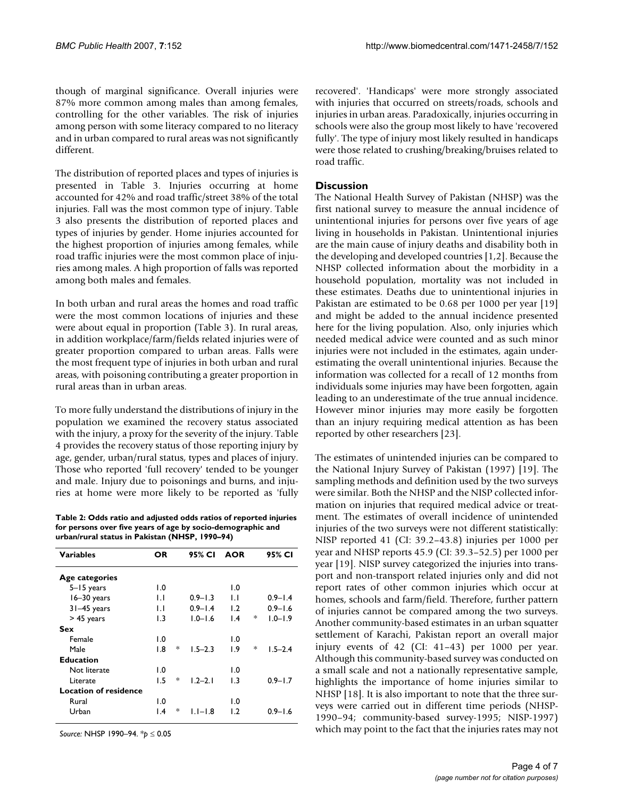though of marginal significance. Overall injuries were 87% more common among males than among females, controlling for the other variables. The risk of injuries among person with some literacy compared to no literacy and in urban compared to rural areas was not significantly different.

The distribution of reported places and types of injuries is presented in Table 3. Injuries occurring at home accounted for 42% and road traffic/street 38% of the total injuries. Fall was the most common type of injury. Table 3 also presents the distribution of reported places and types of injuries by gender. Home injuries accounted for the highest proportion of injuries among females, while road traffic injuries were the most common place of injuries among males. A high proportion of falls was reported among both males and females.

In both urban and rural areas the homes and road traffic were the most common locations of injuries and these were about equal in proportion (Table 3). In rural areas, in addition workplace/farm/fields related injuries were of greater proportion compared to urban areas. Falls were the most frequent type of injuries in both urban and rural areas, with poisoning contributing a greater proportion in rural areas than in urban areas.

To more fully understand the distributions of injury in the population we examined the recovery status associated with the injury, a proxy for the severity of the injury. Table 4 provides the recovery status of those reporting injury by age, gender, urban/rural status, types and places of injury. Those who reported 'full recovery' tended to be younger and male. Injury due to poisonings and burns, and injuries at home were more likely to be reported as 'fully

**Table 2: Odds ratio and adjusted odds ratios of reported injuries for persons over five years of age by socio-demographic and urban/rural status in Pakistan (NHSP, 1990–94)**

| <b>Variables</b>             | ΟR              |   | 95% CI      | <b>AOR</b>       |   | 95% CI      |
|------------------------------|-----------------|---|-------------|------------------|---|-------------|
| Age categories               |                 |   |             |                  |   |             |
| $5 - 15$ years               | 1.0             |   |             | $\overline{1.0}$ |   |             |
| $16-30$ years                | IJ              |   | $0.9 - 1.3$ | IJ               |   | $0.9 - 1.4$ |
| $31-45$ years                | $\mathsf{L}$    |   | $0.9 - 1.4$ | 1.2              |   | $0.9 - 1.6$ |
| $> 45$ years                 | 1.3             |   | $1.0 - 1.6$ | $\overline{1.4}$ | * | $1.0 - 1.9$ |
| Sex                          |                 |   |             |                  |   |             |
| Female                       | 1.0             |   |             | $\overline{1.0}$ |   |             |
| Male                         | 1.8             | * | $1.5 - 2.3$ | 1.9              | * | $1.5 - 2.4$ |
| Education                    |                 |   |             |                  |   |             |
| Not literate                 | 1.0             |   |             | 1.0              |   |             |
| Literate                     | 1.5             | * | $1.2 - 2.1$ | 1.3              |   | $0.9 - 1.7$ |
| <b>Location of residence</b> |                 |   |             |                  |   |             |
| Rural                        | 1.0             |   |             | 1.0              |   |             |
| Urban                        | $\mathsf{I}$ .4 | ∗ | $1.1 - 1.8$ | $\mathsf{L}2$    |   | $0.9 - 1.6$ |

*Source:* NHSP 1990–94. \**p* ≤ 0.05

recovered'. 'Handicaps' were more strongly associated with injuries that occurred on streets/roads, schools and injuries in urban areas. Paradoxically, injuries occurring in schools were also the group most likely to have 'recovered fully'. The type of injury most likely resulted in handicaps were those related to crushing/breaking/bruises related to road traffic.

#### **Discussion**

The National Health Survey of Pakistan (NHSP) was the first national survey to measure the annual incidence of unintentional injuries for persons over five years of age living in households in Pakistan. Unintentional injuries are the main cause of injury deaths and disability both in the developing and developed countries [1,2]. Because the NHSP collected information about the morbidity in a household population, mortality was not included in these estimates. Deaths due to unintentional injuries in Pakistan are estimated to be 0.68 per 1000 per year [19] and might be added to the annual incidence presented here for the living population. Also, only injuries which needed medical advice were counted and as such minor injuries were not included in the estimates, again underestimating the overall unintentional injuries. Because the information was collected for a recall of 12 months from individuals some injuries may have been forgotten, again leading to an underestimate of the true annual incidence. However minor injuries may more easily be forgotten than an injury requiring medical attention as has been reported by other researchers [23].

The estimates of unintended injuries can be compared to the National Injury Survey of Pakistan (1997) [19]. The sampling methods and definition used by the two surveys were similar. Both the NHSP and the NISP collected information on injuries that required medical advice or treatment. The estimates of overall incidence of unintended injuries of the two surveys were not different statistically: NISP reported 41 (CI: 39.2–43.8) injuries per 1000 per year and NHSP reports 45.9 (CI: 39.3–52.5) per 1000 per year [19]. NISP survey categorized the injuries into transport and non-transport related injuries only and did not report rates of other common injuries which occur at homes, schools and farm/field. Therefore, further pattern of injuries cannot be compared among the two surveys. Another community-based estimates in an urban squatter settlement of Karachi, Pakistan report an overall major injury events of 42 (CI: 41–43) per 1000 per year. Although this community-based survey was conducted on a small scale and not a nationally representative sample, highlights the importance of home injuries similar to NHSP [18]. It is also important to note that the three surveys were carried out in different time periods (NHSP-1990–94; community-based survey-1995; NISP-1997) which may point to the fact that the injuries rates may not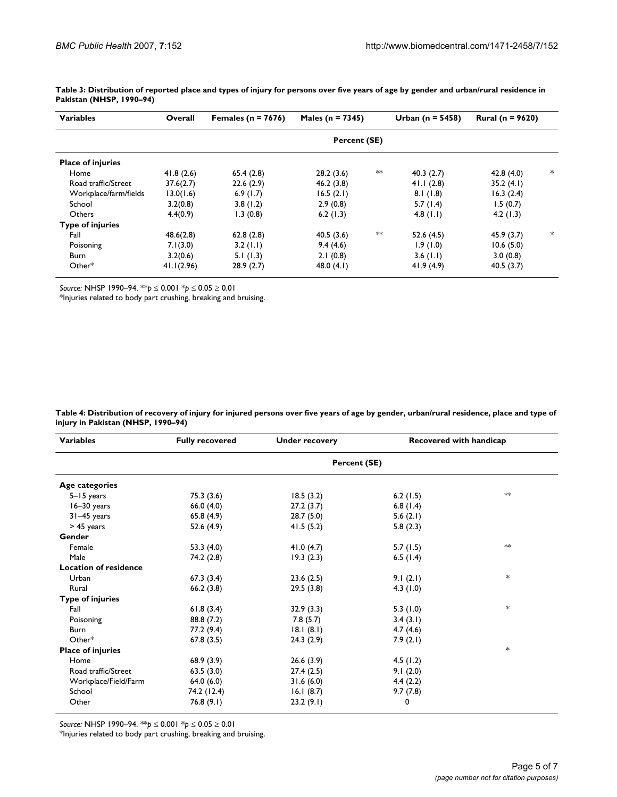| <b>Variables</b>         | Overall      | Females ( $n = 7676$ ) | Males ( $n = 7345$ ) |         | Urban ( $n = 5458$ ) | <b>Rural</b> ( $n = 9620$ ) |     |  |
|--------------------------|--------------|------------------------|----------------------|---------|----------------------|-----------------------------|-----|--|
|                          | Percent (SE) |                        |                      |         |                      |                             |     |  |
| <b>Place of injuries</b> |              |                        |                      |         |                      |                             |     |  |
| Home                     | 41.8(2.6)    | 65.4(2.8)              | 28.2(3.6)            | $*\ast$ | 40.3(2.7)            | 42.8(4.0)                   | $*$ |  |
| Road traffic/Street      | 37.6(2.7)    | 22.6(2.9)              | 46.2(3.8)            |         | 41.1(2.8)            | 35.2(4.1)                   |     |  |
| Workplace/farm/fields    | 13.0(1.6)    | 6.9(1.7)               | 16.5(2.1)            |         | 8.1(1.8)             | 16.3(2.4)                   |     |  |
| School                   | 3.2(0.8)     | 3.8(1.2)               | 2.9(0.8)             |         | 5.7(1.4)             | 1.5(0.7)                    |     |  |
| Others                   | 4.4(0.9)     | 1.3(0.8)               | 6.2(1.3)             |         | 4.8 $(1.1)$          | 4.2(1.3)                    |     |  |
| <b>Type of injuries</b>  |              |                        |                      |         |                      |                             |     |  |
| Fall                     | 48.6(2.8)    | 62.8(2.8)              | 40.5(3.6)            | ∗∗      | 52.6(4.5)            | 45.9(3.7)                   | *   |  |
| Poisoning                | 7.1(3.0)     | $3.2$ (1.1)            | 9.4(4.6)             |         | 1.9(1.0)             | 10.6(5.0)                   |     |  |
| Burn                     | 3.2(0.6)     | 5.1(1.3)               | 2.1(0.8)             |         | 3.6(1.1)             | 3.0(0.8)                    |     |  |
| $Other*$                 | 41.1(2.96)   | 28.9(2.7)              | 48.0 $(4.1)$         |         | 41.9(4.9)            | 40.5(3.7)                   |     |  |

**Table 3: Distribution of reported place and types of injury for persons over five years of age by gender and urban/rural residence in Pakistan (NHSP, 1990–94)**

*Source:* NHSP 1990–94. \**\*p* ≤ 0.001 \**p* ≤ 0.05 ≥ 0.01

\*Injuries related to body part crushing, breaking and bruising.

**Table 4: Distribution of recovery of injury for injured persons over five years of age by gender, urban/rural residence, place and type of injury in Pakistan (NHSP, 1990–94)**

| <b>Variables</b>             | <b>Fully recovered</b> | <b>Under recovery</b> | <b>Recovered with handicap</b> |     |  |  |
|------------------------------|------------------------|-----------------------|--------------------------------|-----|--|--|
|                              | Percent (SE)           |                       |                                |     |  |  |
| Age categories               |                        |                       |                                |     |  |  |
| $5 - 15$ years               | 75.3(3.6)              | 18.5(3.2)             | 6.2 $(1.5)$                    | ∗×  |  |  |
| $16-30$ years                | 66.0 $(4.0)$           | 27.2(3.7)             | 6.8 $(1.4)$                    |     |  |  |
| 31-45 years                  | 65.8 (4.9)             | 28.7(5.0)             | 5.6(2.1)                       |     |  |  |
| > 45 years                   | 52.6 (4.9)             | 41.5(5.2)             | 5.8(2.3)                       |     |  |  |
| Gender                       |                        |                       |                                |     |  |  |
| Female                       | 53.3 $(4.0)$           | 41.0 $(4.7)$          | 5.7(1.5)                       | ≯≫k |  |  |
| Male                         | 74.2 (2.8)             | 19.3(2.3)             | 6.5(1.4)                       |     |  |  |
| <b>Location of residence</b> |                        |                       |                                |     |  |  |
| Urban                        | 67.3(3.4)              | 23.6(2.5)             | 9.1(2.1)                       | *   |  |  |
| Rural                        | 66.2(3.8)              | 29.5(3.8)             | 4.3 $(1.0)$                    |     |  |  |
| <b>Type of injuries</b>      |                        |                       |                                |     |  |  |
| Fall                         | 61.8(3.4)              | 32.9(3.3)             | 5.3(1.0)                       | *   |  |  |
| Poisoning                    | 88.8 (7.2)             | 7.8(5.7)              | 3.4(3.1)                       |     |  |  |
| Burn                         | 77.2 (9.4)             | 18.1(8.1)             | 4.7(4.6)                       |     |  |  |
| $Other*$                     | 67.8(3.5)              | 24.3(2.9)             | 7.9(2.1)                       |     |  |  |
| <b>Place of injuries</b>     |                        |                       |                                | *   |  |  |
| Home                         | 68.9(3.9)              | 26.6(3.9)             | 4.5(1.2)                       |     |  |  |
| Road traffic/Street          | 63.5(3.0)              | 27.4(2.5)             | 9.1(2.0)                       |     |  |  |
| Workplace/Field/Farm         | 64.0(6.0)              | 31.6(6.0)             | 4.4(2.2)                       |     |  |  |
| School                       | 74.2 (12.4)            | 16.1(8.7)             | 9.7(7.8)                       |     |  |  |
| Other                        | 76.8(9.1)              | 23.2(9.1)             | 0                              |     |  |  |

*Source:* NHSP 1990–94. \*\**p* ≤ 0.001 \**p* ≤ 0.05 ≥ 0.01

\*Injuries related to body part crushing, breaking and bruising.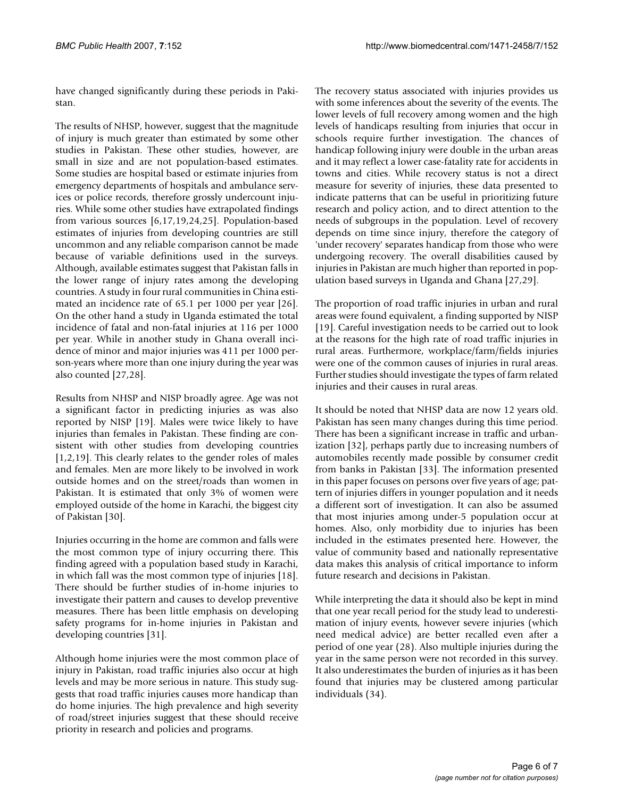have changed significantly during these periods in Pakistan.

The results of NHSP, however, suggest that the magnitude of injury is much greater than estimated by some other studies in Pakistan. These other studies, however, are small in size and are not population-based estimates. Some studies are hospital based or estimate injuries from emergency departments of hospitals and ambulance services or police records, therefore grossly undercount injuries. While some other studies have extrapolated findings from various sources [6,17,19,24,25]. Population-based estimates of injuries from developing countries are still uncommon and any reliable comparison cannot be made because of variable definitions used in the surveys. Although, available estimates suggest that Pakistan falls in the lower range of injury rates among the developing countries. A study in four rural communities in China estimated an incidence rate of 65.1 per 1000 per year [26]. On the other hand a study in Uganda estimated the total incidence of fatal and non-fatal injuries at 116 per 1000 per year. While in another study in Ghana overall incidence of minor and major injuries was 411 per 1000 person-years where more than one injury during the year was also counted [27,28].

Results from NHSP and NISP broadly agree. Age was not a significant factor in predicting injuries as was also reported by NISP [19]. Males were twice likely to have injuries than females in Pakistan. These finding are consistent with other studies from developing countries [1,2,19]. This clearly relates to the gender roles of males and females. Men are more likely to be involved in work outside homes and on the street/roads than women in Pakistan. It is estimated that only 3% of women were employed outside of the home in Karachi, the biggest city of Pakistan [30].

Injuries occurring in the home are common and falls were the most common type of injury occurring there. This finding agreed with a population based study in Karachi, in which fall was the most common type of injuries [18]. There should be further studies of in-home injuries to investigate their pattern and causes to develop preventive measures. There has been little emphasis on developing safety programs for in-home injuries in Pakistan and developing countries [31].

Although home injuries were the most common place of injury in Pakistan, road traffic injuries also occur at high levels and may be more serious in nature. This study suggests that road traffic injuries causes more handicap than do home injuries. The high prevalence and high severity of road/street injuries suggest that these should receive priority in research and policies and programs.

The recovery status associated with injuries provides us with some inferences about the severity of the events. The lower levels of full recovery among women and the high levels of handicaps resulting from injuries that occur in schools require further investigation. The chances of handicap following injury were double in the urban areas and it may reflect a lower case-fatality rate for accidents in towns and cities. While recovery status is not a direct measure for severity of injuries, these data presented to indicate patterns that can be useful in prioritizing future research and policy action, and to direct attention to the needs of subgroups in the population. Level of recovery depends on time since injury, therefore the category of 'under recovery' separates handicap from those who were undergoing recovery. The overall disabilities caused by injuries in Pakistan are much higher than reported in population based surveys in Uganda and Ghana [27,29].

The proportion of road traffic injuries in urban and rural areas were found equivalent, a finding supported by NISP [19]. Careful investigation needs to be carried out to look at the reasons for the high rate of road traffic injuries in rural areas. Furthermore, workplace/farm/fields injuries were one of the common causes of injuries in rural areas. Further studies should investigate the types of farm related injuries and their causes in rural areas.

It should be noted that NHSP data are now 12 years old. Pakistan has seen many changes during this time period. There has been a significant increase in traffic and urbanization [32], perhaps partly due to increasing numbers of automobiles recently made possible by consumer credit from banks in Pakistan [33]. The information presented in this paper focuses on persons over five years of age; pattern of injuries differs in younger population and it needs a different sort of investigation. It can also be assumed that most injuries among under-5 population occur at homes. Also, only morbidity due to injuries has been included in the estimates presented here. However, the value of community based and nationally representative data makes this analysis of critical importance to inform future research and decisions in Pakistan.

While interpreting the data it should also be kept in mind that one year recall period for the study lead to underestimation of injury events, however severe injuries (which need medical advice) are better recalled even after a period of one year (28). Also multiple injuries during the year in the same person were not recorded in this survey. It also underestimates the burden of injuries as it has been found that injuries may be clustered among particular individuals (34).